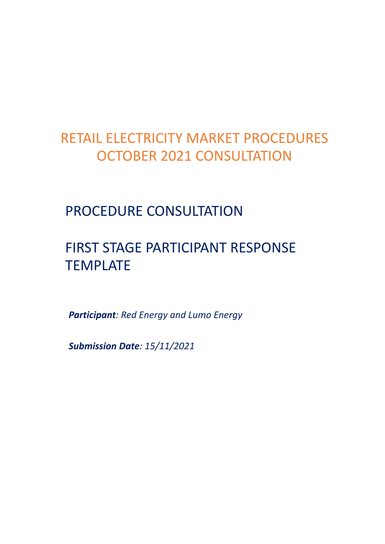# RETAIL ELECTRICITY MARKET PROCEDURES OCTOBER 2021 CONSULTATION

### PROCEDURE CONSULTATION

## FIRST STAGE PARTICIPANT RESPONSE **TEMPLATE**

*Participant: Red Energy and Lumo Energy*

*Submission Date: 15/11/2021*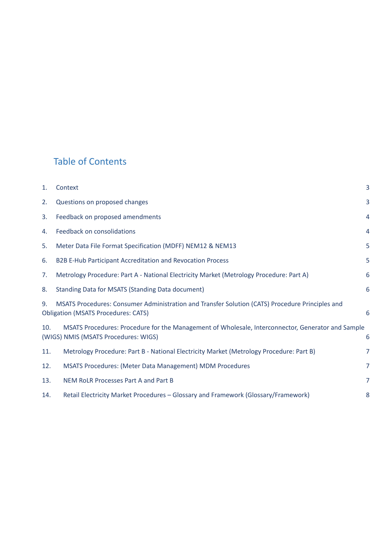### Table of Contents

| 1.  | Context                                                                                                                                       | 3              |
|-----|-----------------------------------------------------------------------------------------------------------------------------------------------|----------------|
| 2.  | Questions on proposed changes                                                                                                                 | 3              |
| 3.  | Feedback on proposed amendments                                                                                                               | $\overline{4}$ |
| 4.  | Feedback on consolidations                                                                                                                    | $\overline{4}$ |
| 5.  | Meter Data File Format Specification (MDFF) NEM12 & NEM13                                                                                     | 5              |
| 6.  | B2B E-Hub Participant Accreditation and Revocation Process                                                                                    | 5              |
| 7.  | Metrology Procedure: Part A - National Electricity Market (Metrology Procedure: Part A)                                                       | 6              |
| 8.  | Standing Data for MSATS (Standing Data document)                                                                                              | 6              |
| 9.  | MSATS Procedures: Consumer Administration and Transfer Solution (CATS) Procedure Principles and<br><b>Obligation (MSATS Procedures: CATS)</b> | 6              |
| 10. | MSATS Procedures: Procedure for the Management of Wholesale, Interconnector, Generator and Sample<br>(WIGS) NMIS (MSATS Procedures: WIGS)     | 6              |
| 11. | Metrology Procedure: Part B - National Electricity Market (Metrology Procedure: Part B)                                                       | $\overline{7}$ |
| 12. | MSATS Procedures: (Meter Data Management) MDM Procedures                                                                                      | $\overline{7}$ |
| 13. | NEM RoLR Processes Part A and Part B                                                                                                          | $\overline{7}$ |
| 14. | Retail Electricity Market Procedures - Glossary and Framework (Glossary/Framework)                                                            | 8              |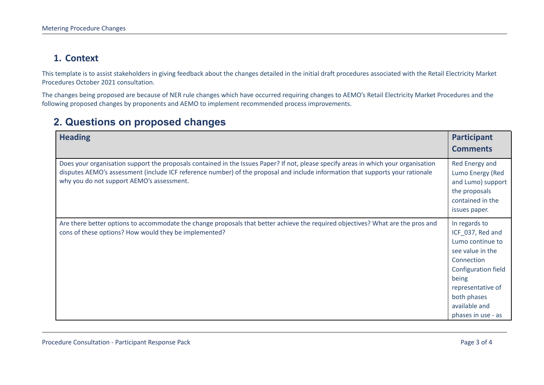#### **1. Context**

This template is to assist stakeholders in giving feedback about the changes detailed in the initial draft procedures associated with the Retail Electricity Market Procedures October 2021 consultation.

The changes being proposed are because of NER rule changes which have occurred requiring changes to AEMO's Retail Electricity Market Procedures and the following proposed changes by proponents and AEMO to implement recommended process improvements.

#### **2. Questions on proposed changes**

<span id="page-2-1"></span><span id="page-2-0"></span>

| <b>Heading</b>                                                                                                                                                                                                                                                                                                     | Participant<br><b>Comments</b>                                                                                                                                                                            |
|--------------------------------------------------------------------------------------------------------------------------------------------------------------------------------------------------------------------------------------------------------------------------------------------------------------------|-----------------------------------------------------------------------------------------------------------------------------------------------------------------------------------------------------------|
| Does your organisation support the proposals contained in the Issues Paper? If not, please specify areas in which your organisation<br>disputes AEMO's assessment (include ICF reference number) of the proposal and include information that supports your rationale<br>why you do not support AEMO's assessment. | Red Energy and<br>Lumo Energy (Red<br>and Lumo) support<br>the proposals<br>contained in the<br>issues paper.                                                                                             |
| Are there better options to accommodate the change proposals that better achieve the required objectives? What are the pros and<br>cons of these options? How would they be implemented?                                                                                                                           | In regards to<br>ICF_037, Red and<br>Lumo continue to<br>see value in the<br>Connection<br><b>Configuration field</b><br>being<br>representative of<br>both phases<br>available and<br>phases in use - as |